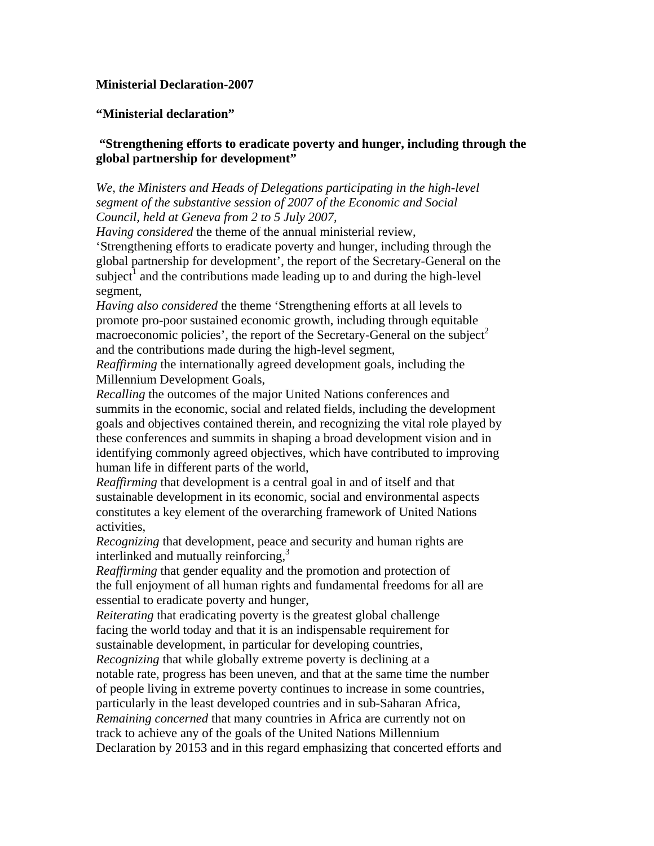## **Ministerial Declaration-2007**

## **"Ministerial declaration"**

## **"Strengthening efforts to eradicate poverty and hunger, including through the global partnership for development"**

*We, the Ministers and Heads of Delegations participating in the high-level segment of the substantive session of 2007 of the Economic and Social Council, held at Geneva from 2 to 5 July 2007,* 

*Having considered* the theme of the annual ministerial review,

'Strengthening efforts to eradicate poverty and hunger, including through the global partnership for development', the report of the Secretary-General on the  $\sinh(\theta)$  and the contributions made leading up to and during the high-level segment,

*Having also considered* the theme 'Strengthening efforts at all levels to promote pro-poor sustained economic growth, including through equitable macroeconomic policies', the report of the Secretary-General on the subject<sup>2</sup> and the contributions made during the high-level segment,

*Reaffirming* the internationally agreed development goals, including the Millennium Development Goals,

*Recalling* the outcomes of the major United Nations conferences and summits in the economic, social and related fields, including the development goals and objectives contained therein, and recognizing the vital role played by these conferences and summits in shaping a broad development vision and in identifying commonly agreed objectives, which have contributed to improving human life in different parts of the world,

*Reaffirming* that development is a central goal in and of itself and that sustainable development in its economic, social and environmental aspects constitutes a key element of the overarching framework of United Nations activities,

*Recognizing* that development, peace and security and human rights are interlinked and mutually reinforcing,<sup>3</sup>

*Reaffirming* that gender equality and the promotion and protection of the full enjoyment of all human rights and fundamental freedoms for all are essential to eradicate poverty and hunger,

*Reiterating* that eradicating poverty is the greatest global challenge facing the world today and that it is an indispensable requirement for sustainable development, in particular for developing countries,

*Recognizing* that while globally extreme poverty is declining at a notable rate, progress has been uneven, and that at the same time the number of people living in extreme poverty continues to increase in some countries, particularly in the least developed countries and in sub-Saharan Africa, *Remaining concerned* that many countries in Africa are currently not on track to achieve any of the goals of the United Nations Millennium Declaration by 20153 and in this regard emphasizing that concerted efforts and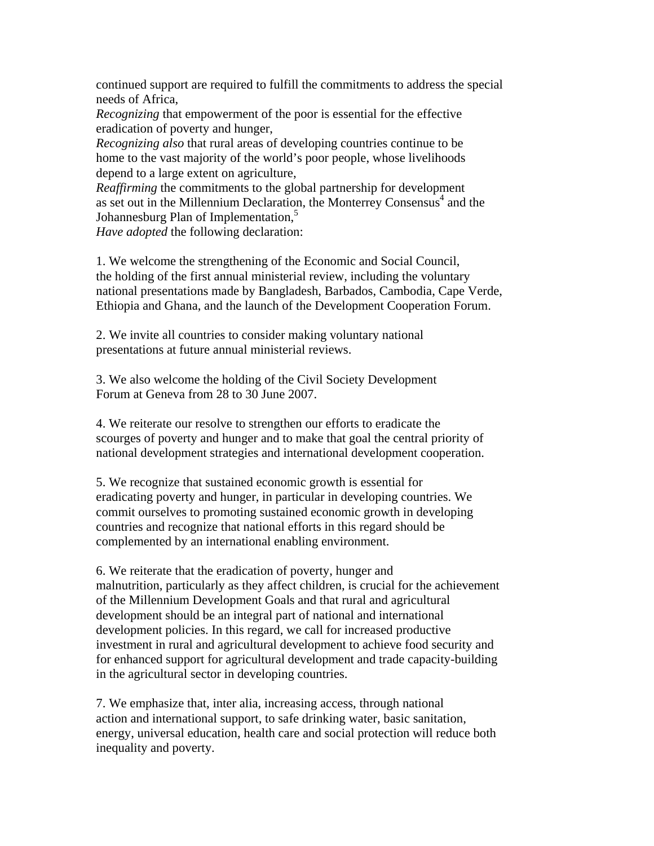continued support are required to fulfill the commitments to address the special needs of Africa,

*Recognizing* that empowerment of the poor is essential for the effective eradication of poverty and hunger,

*Recognizing also* that rural areas of developing countries continue to be home to the vast majority of the world's poor people, whose livelihoods depend to a large extent on agriculture,

*Reaffirming* the commitments to the global partnership for development as set out in the Millennium Declaration, the Monterrey Consensus<sup>4</sup> and the Johannesburg Plan of Implementation,<sup>5</sup>

*Have adopted* the following declaration:

1. We welcome the strengthening of the Economic and Social Council, the holding of the first annual ministerial review, including the voluntary national presentations made by Bangladesh, Barbados, Cambodia, Cape Verde, Ethiopia and Ghana, and the launch of the Development Cooperation Forum.

2. We invite all countries to consider making voluntary national presentations at future annual ministerial reviews.

3. We also welcome the holding of the Civil Society Development Forum at Geneva from 28 to 30 June 2007.

4. We reiterate our resolve to strengthen our efforts to eradicate the scourges of poverty and hunger and to make that goal the central priority of national development strategies and international development cooperation.

5. We recognize that sustained economic growth is essential for eradicating poverty and hunger, in particular in developing countries. We commit ourselves to promoting sustained economic growth in developing countries and recognize that national efforts in this regard should be complemented by an international enabling environment.

6. We reiterate that the eradication of poverty, hunger and malnutrition, particularly as they affect children, is crucial for the achievement of the Millennium Development Goals and that rural and agricultural development should be an integral part of national and international development policies. In this regard, we call for increased productive investment in rural and agricultural development to achieve food security and for enhanced support for agricultural development and trade capacity-building in the agricultural sector in developing countries.

7. We emphasize that, inter alia, increasing access, through national action and international support, to safe drinking water, basic sanitation, energy, universal education, health care and social protection will reduce both inequality and poverty.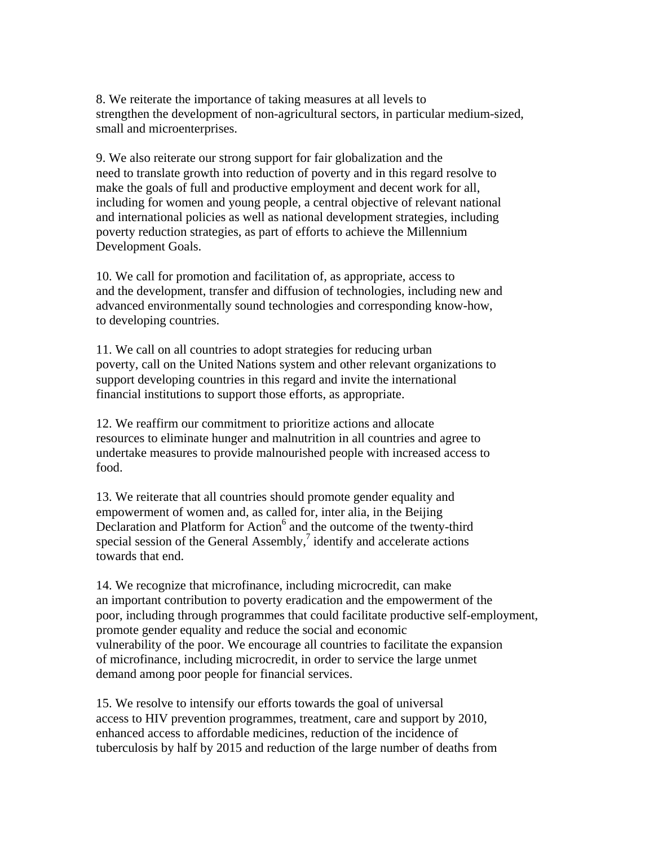8. We reiterate the importance of taking measures at all levels to strengthen the development of non-agricultural sectors, in particular medium-sized, small and microenterprises.

9. We also reiterate our strong support for fair globalization and the need to translate growth into reduction of poverty and in this regard resolve to make the goals of full and productive employment and decent work for all, including for women and young people, a central objective of relevant national and international policies as well as national development strategies, including poverty reduction strategies, as part of efforts to achieve the Millennium Development Goals.

10. We call for promotion and facilitation of, as appropriate, access to and the development, transfer and diffusion of technologies, including new and advanced environmentally sound technologies and corresponding know-how, to developing countries.

11. We call on all countries to adopt strategies for reducing urban poverty, call on the United Nations system and other relevant organizations to support developing countries in this regard and invite the international financial institutions to support those efforts, as appropriate.

12. We reaffirm our commitment to prioritize actions and allocate resources to eliminate hunger and malnutrition in all countries and agree to undertake measures to provide malnourished people with increased access to food.

13. We reiterate that all countries should promote gender equality and empowerment of women and, as called for, inter alia, in the Beijing Declaration and Platform for Action<sup>6</sup> and the outcome of the twenty-third special session of the General Assembly, $\frac{7}{1}$  identify and accelerate actions towards that end.

14. We recognize that microfinance, including microcredit, can make an important contribution to poverty eradication and the empowerment of the poor, including through programmes that could facilitate productive self-employment, promote gender equality and reduce the social and economic vulnerability of the poor. We encourage all countries to facilitate the expansion of microfinance, including microcredit, in order to service the large unmet demand among poor people for financial services.

15. We resolve to intensify our efforts towards the goal of universal access to HIV prevention programmes, treatment, care and support by 2010, enhanced access to affordable medicines, reduction of the incidence of tuberculosis by half by 2015 and reduction of the large number of deaths from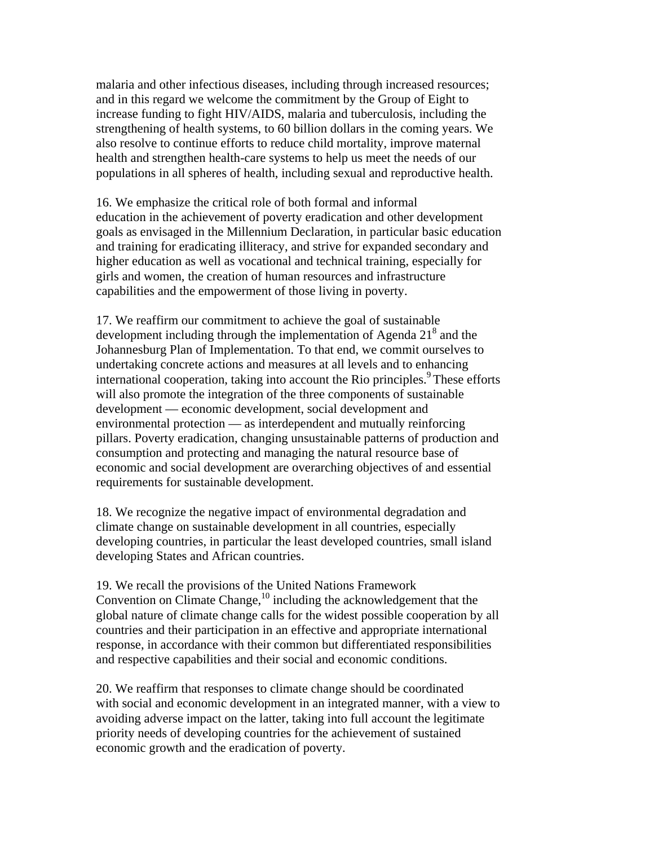malaria and other infectious diseases, including through increased resources; and in this regard we welcome the commitment by the Group of Eight to increase funding to fight HIV/AIDS, malaria and tuberculosis, including the strengthening of health systems, to 60 billion dollars in the coming years. We also resolve to continue efforts to reduce child mortality, improve maternal health and strengthen health-care systems to help us meet the needs of our populations in all spheres of health, including sexual and reproductive health.

16. We emphasize the critical role of both formal and informal education in the achievement of poverty eradication and other development goals as envisaged in the Millennium Declaration, in particular basic education and training for eradicating illiteracy, and strive for expanded secondary and higher education as well as vocational and technical training, especially for girls and women, the creation of human resources and infrastructure capabilities and the empowerment of those living in poverty.

17. We reaffirm our commitment to achieve the goal of sustainable development including through the implementation of Agenda  $21<sup>8</sup>$  and the Johannesburg Plan of Implementation. To that end, we commit ourselves to undertaking concrete actions and measures at all levels and to enhancing international cooperation, taking into account the Rio principles.<sup>9</sup> These efforts will also promote the integration of the three components of sustainable development — economic development, social development and environmental protection — as interdependent and mutually reinforcing pillars. Poverty eradication, changing unsustainable patterns of production and consumption and protecting and managing the natural resource base of economic and social development are overarching objectives of and essential requirements for sustainable development.

18. We recognize the negative impact of environmental degradation and climate change on sustainable development in all countries, especially developing countries, in particular the least developed countries, small island developing States and African countries.

19. We recall the provisions of the United Nations Framework Convention on Climate Change,<sup>10</sup> including the acknowledgement that the global nature of climate change calls for the widest possible cooperation by all countries and their participation in an effective and appropriate international response, in accordance with their common but differentiated responsibilities and respective capabilities and their social and economic conditions.

20. We reaffirm that responses to climate change should be coordinated with social and economic development in an integrated manner, with a view to avoiding adverse impact on the latter, taking into full account the legitimate priority needs of developing countries for the achievement of sustained economic growth and the eradication of poverty.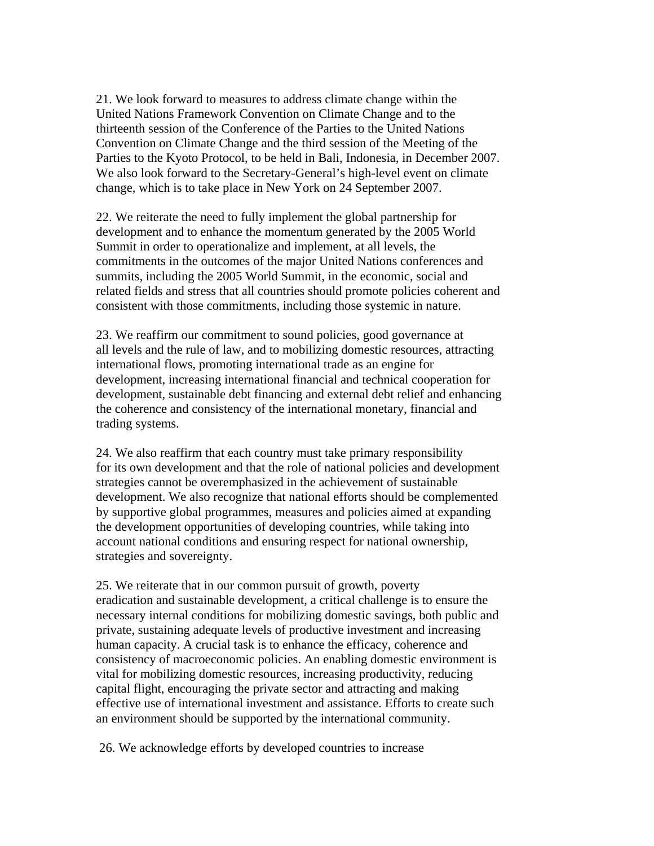21. We look forward to measures to address climate change within the United Nations Framework Convention on Climate Change and to the thirteenth session of the Conference of the Parties to the United Nations Convention on Climate Change and the third session of the Meeting of the Parties to the Kyoto Protocol, to be held in Bali, Indonesia, in December 2007. We also look forward to the Secretary-General's high-level event on climate change, which is to take place in New York on 24 September 2007.

22. We reiterate the need to fully implement the global partnership for development and to enhance the momentum generated by the 2005 World Summit in order to operationalize and implement, at all levels, the commitments in the outcomes of the major United Nations conferences and summits, including the 2005 World Summit, in the economic, social and related fields and stress that all countries should promote policies coherent and consistent with those commitments, including those systemic in nature.

23. We reaffirm our commitment to sound policies, good governance at all levels and the rule of law, and to mobilizing domestic resources, attracting international flows, promoting international trade as an engine for development, increasing international financial and technical cooperation for development, sustainable debt financing and external debt relief and enhancing the coherence and consistency of the international monetary, financial and trading systems.

24. We also reaffirm that each country must take primary responsibility for its own development and that the role of national policies and development strategies cannot be overemphasized in the achievement of sustainable development. We also recognize that national efforts should be complemented by supportive global programmes, measures and policies aimed at expanding the development opportunities of developing countries, while taking into account national conditions and ensuring respect for national ownership, strategies and sovereignty.

25. We reiterate that in our common pursuit of growth, poverty eradication and sustainable development, a critical challenge is to ensure the necessary internal conditions for mobilizing domestic savings, both public and private, sustaining adequate levels of productive investment and increasing human capacity. A crucial task is to enhance the efficacy, coherence and consistency of macroeconomic policies. An enabling domestic environment is vital for mobilizing domestic resources, increasing productivity, reducing capital flight, encouraging the private sector and attracting and making effective use of international investment and assistance. Efforts to create such an environment should be supported by the international community.

26. We acknowledge efforts by developed countries to increase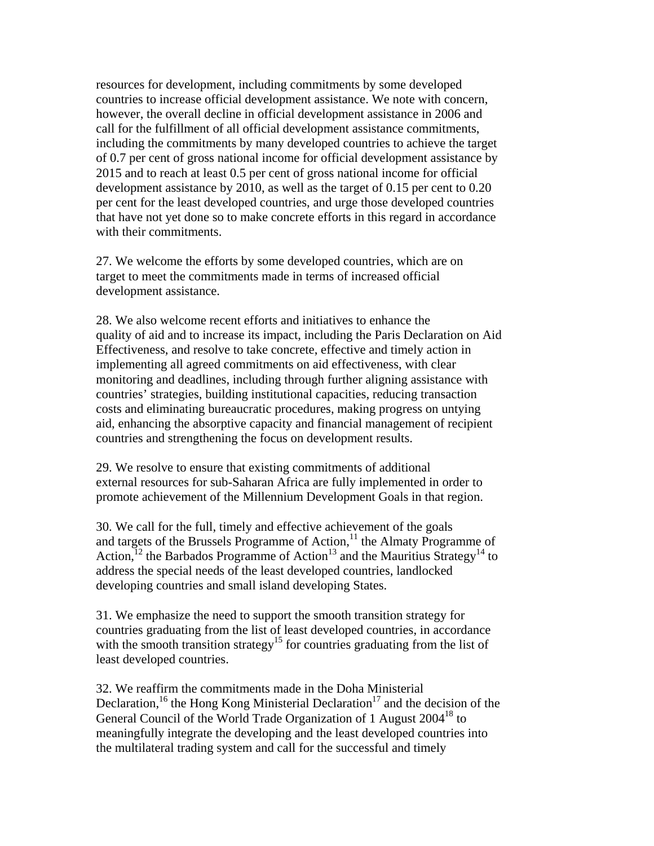resources for development, including commitments by some developed countries to increase official development assistance. We note with concern, however, the overall decline in official development assistance in 2006 and call for the fulfillment of all official development assistance commitments, including the commitments by many developed countries to achieve the target of 0.7 per cent of gross national income for official development assistance by 2015 and to reach at least 0.5 per cent of gross national income for official development assistance by 2010, as well as the target of 0.15 per cent to 0.20 per cent for the least developed countries, and urge those developed countries that have not yet done so to make concrete efforts in this regard in accordance with their commitments.

27. We welcome the efforts by some developed countries, which are on target to meet the commitments made in terms of increased official development assistance.

28. We also welcome recent efforts and initiatives to enhance the quality of aid and to increase its impact, including the Paris Declaration on Aid Effectiveness, and resolve to take concrete, effective and timely action in implementing all agreed commitments on aid effectiveness, with clear monitoring and deadlines, including through further aligning assistance with countries' strategies, building institutional capacities, reducing transaction costs and eliminating bureaucratic procedures, making progress on untying aid, enhancing the absorptive capacity and financial management of recipient countries and strengthening the focus on development results.

29. We resolve to ensure that existing commitments of additional external resources for sub-Saharan Africa are fully implemented in order to promote achievement of the Millennium Development Goals in that region.

30. We call for the full, timely and effective achievement of the goals and targets of the Brussels Programme of Action,<sup>11</sup> the Almaty Programme of Action,<sup>12</sup> the Barbados Programme of Action<sup>13</sup> and the Mauritius Strategy<sup>14</sup> to address the special needs of the least developed countries, landlocked developing countries and small island developing States.

31. We emphasize the need to support the smooth transition strategy for countries graduating from the list of least developed countries, in accordance with the smooth transition strategy<sup>15</sup> for countries graduating from the list of least developed countries.

32. We reaffirm the commitments made in the Doha Ministerial Declaration,<sup>16</sup> the Hong Kong Ministerial Declaration<sup>17</sup> and the decision of the General Council of the World Trade Organization of 1 August 2004<sup>18</sup> to meaningfully integrate the developing and the least developed countries into the multilateral trading system and call for the successful and timely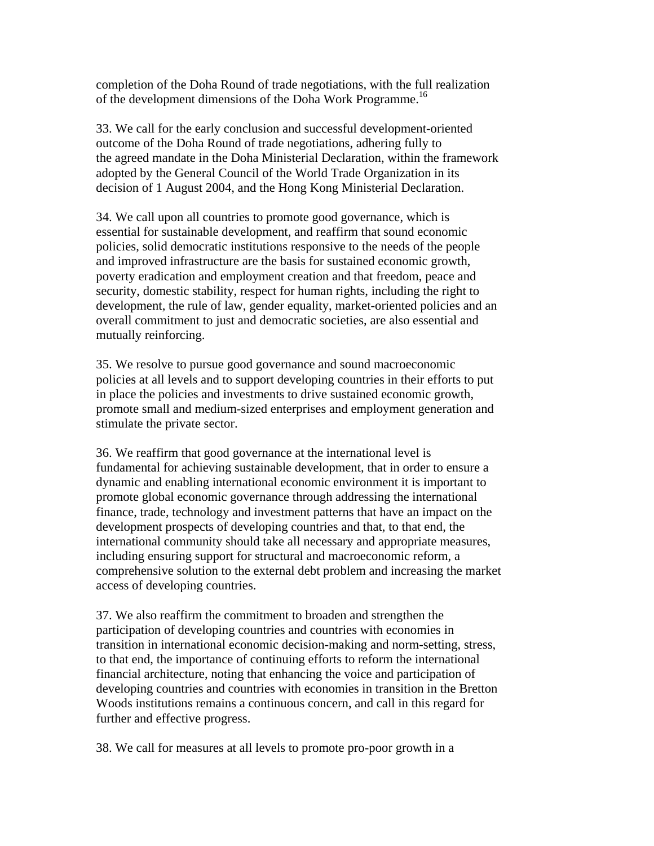completion of the Doha Round of trade negotiations, with the full realization of the development dimensions of the Doha Work Programme.<sup>16</sup>

33. We call for the early conclusion and successful development-oriented outcome of the Doha Round of trade negotiations, adhering fully to the agreed mandate in the Doha Ministerial Declaration, within the framework adopted by the General Council of the World Trade Organization in its decision of 1 August 2004, and the Hong Kong Ministerial Declaration.

34. We call upon all countries to promote good governance, which is essential for sustainable development, and reaffirm that sound economic policies, solid democratic institutions responsive to the needs of the people and improved infrastructure are the basis for sustained economic growth, poverty eradication and employment creation and that freedom, peace and security, domestic stability, respect for human rights, including the right to development, the rule of law, gender equality, market-oriented policies and an overall commitment to just and democratic societies, are also essential and mutually reinforcing.

35. We resolve to pursue good governance and sound macroeconomic policies at all levels and to support developing countries in their efforts to put in place the policies and investments to drive sustained economic growth, promote small and medium-sized enterprises and employment generation and stimulate the private sector.

36. We reaffirm that good governance at the international level is fundamental for achieving sustainable development, that in order to ensure a dynamic and enabling international economic environment it is important to promote global economic governance through addressing the international finance, trade, technology and investment patterns that have an impact on the development prospects of developing countries and that, to that end, the international community should take all necessary and appropriate measures, including ensuring support for structural and macroeconomic reform, a comprehensive solution to the external debt problem and increasing the market access of developing countries.

37. We also reaffirm the commitment to broaden and strengthen the participation of developing countries and countries with economies in transition in international economic decision-making and norm-setting, stress, to that end, the importance of continuing efforts to reform the international financial architecture, noting that enhancing the voice and participation of developing countries and countries with economies in transition in the Bretton Woods institutions remains a continuous concern, and call in this regard for further and effective progress.

38. We call for measures at all levels to promote pro-poor growth in a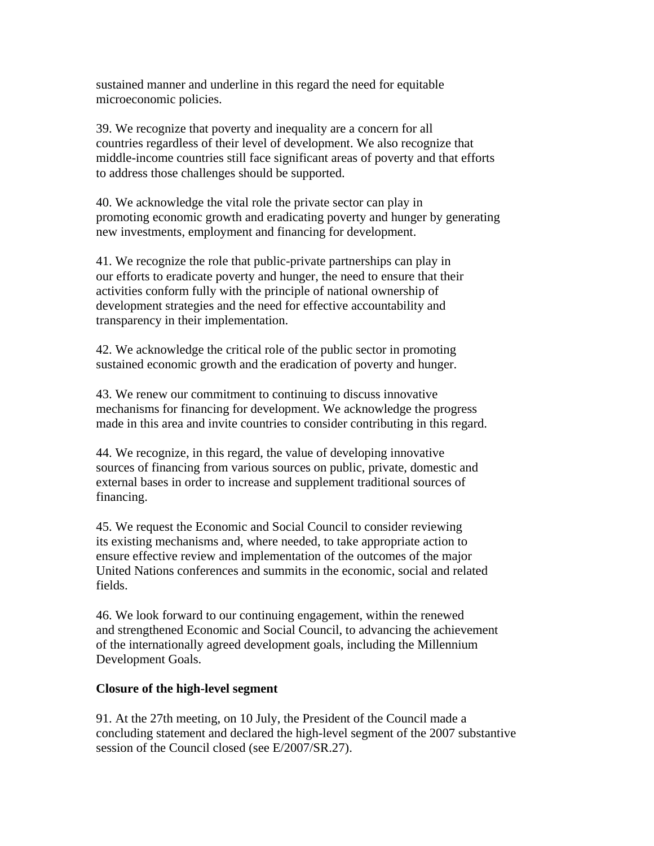sustained manner and underline in this regard the need for equitable microeconomic policies.

39. We recognize that poverty and inequality are a concern for all countries regardless of their level of development. We also recognize that middle-income countries still face significant areas of poverty and that efforts to address those challenges should be supported.

40. We acknowledge the vital role the private sector can play in promoting economic growth and eradicating poverty and hunger by generating new investments, employment and financing for development.

41. We recognize the role that public-private partnerships can play in our efforts to eradicate poverty and hunger, the need to ensure that their activities conform fully with the principle of national ownership of development strategies and the need for effective accountability and transparency in their implementation.

42. We acknowledge the critical role of the public sector in promoting sustained economic growth and the eradication of poverty and hunger.

43. We renew our commitment to continuing to discuss innovative mechanisms for financing for development. We acknowledge the progress made in this area and invite countries to consider contributing in this regard.

44. We recognize, in this regard, the value of developing innovative sources of financing from various sources on public, private, domestic and external bases in order to increase and supplement traditional sources of financing.

45. We request the Economic and Social Council to consider reviewing its existing mechanisms and, where needed, to take appropriate action to ensure effective review and implementation of the outcomes of the major United Nations conferences and summits in the economic, social and related fields.

46. We look forward to our continuing engagement, within the renewed and strengthened Economic and Social Council, to advancing the achievement of the internationally agreed development goals, including the Millennium Development Goals.

## **Closure of the high-level segment**

91. At the 27th meeting, on 10 July, the President of the Council made a concluding statement and declared the high-level segment of the 2007 substantive session of the Council closed (see E/2007/SR.27).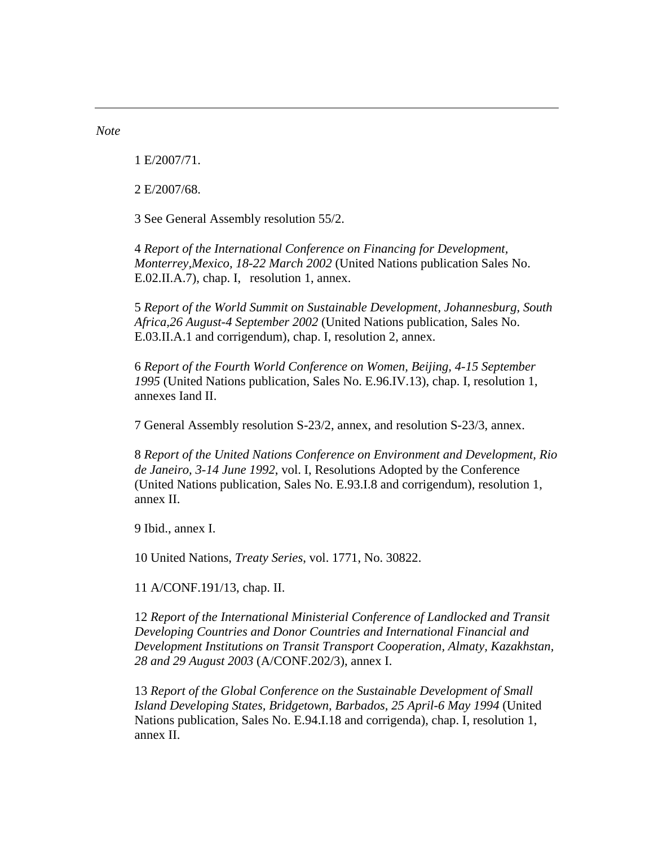*Note* 

1 E/2007/71.

2 E/2007/68.

3 See General Assembly resolution 55/2.

4 *Report of the International Conference on Financing for Development, Monterrey,Mexico, 18-22 March 2002* (United Nations publication Sales No. E.02.II.A.7), chap. I, resolution 1, annex.

5 *Report of the World Summit on Sustainable Development, Johannesburg, South Africa,26 August-4 September 2002* (United Nations publication, Sales No. E.03.II.A.1 and corrigendum), chap. I, resolution 2, annex.

6 *Report of the Fourth World Conference on Women, Beijing, 4-15 September 1995* (United Nations publication, Sales No. E.96.IV.13), chap. I, resolution 1, annexes Iand II.

7 General Assembly resolution S-23/2, annex, and resolution S-23/3, annex.

8 *Report of the United Nations Conference on Environment and Development, Rio de Janeiro, 3-14 June 1992*, vol. I, Resolutions Adopted by the Conference (United Nations publication, Sales No. E.93.I.8 and corrigendum), resolution 1, annex II.

9 Ibid., annex I.

10 United Nations, *Treaty Series*, vol. 1771, No. 30822.

11 A/CONF.191/13, chap. II.

12 *Report of the International Ministerial Conference of Landlocked and Transit Developing Countries and Donor Countries and International Financial and Development Institutions on Transit Transport Cooperation, Almaty, Kazakhstan, 28 and 29 August 2003* (A/CONF.202/3), annex I.

13 *Report of the Global Conference on the Sustainable Development of Small Island Developing States, Bridgetown, Barbados, 25 April-6 May 1994* (United Nations publication, Sales No. E.94.I.18 and corrigenda), chap. I, resolution 1, annex II.